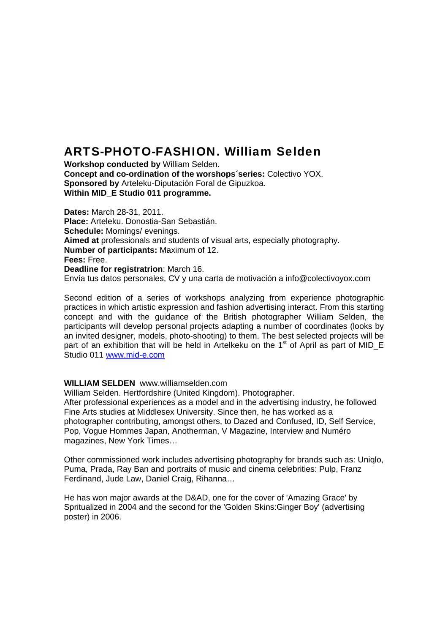## ARTS-PHOTO-FASHION. William Selden

**Workshop conducted by** William Selden. **Concept and co-ordination of the worshops´series:** Colectivo YOX. **Sponsored by** Arteleku-Diputación Foral de Gipuzkoa. **Within MID\_E Studio 011 programme.** 

**Dates:** March 28-31, 2011. **Place:** Arteleku. Donostia-San Sebastián. **Schedule:** Mornings/ evenings. **Aimed at** professionals and students of visual arts, especially photography. **Number of participants:** Maximum of 12. **Fees:** Free. **Deadline for registratrion**: March 16. Envía tus datos personales, CV y una carta de motivación a info@colectivoyox.com

Second edition of a series of workshops analyzing from experience photographic practices in which artistic expression and fashion advertising interact. From this starting concept and with the guidance of the British photographer William Selden, the participants will develop personal projects adapting a number of coordinates (looks by an invited designer, models, photo-shooting) to them. The best selected projects will be part of an exhibition that will be held in Artelkeku on the  $1<sup>st</sup>$  of April as part of MID\_E Studio 011 [www.mid-e.com](http://www.mid-e.com/) 

## **WILLIAM SELDEN** www.williamselden.com

William Selden. Hertfordshire (United Kingdom). Photographer. After professional experiences as a model and in the advertising industry, he followed Fine Arts studies at Middlesex University. Since then, he has worked as a photographer contributing, amongst others, to Dazed and Confused, ID, Self Service, Pop, Vogue Hommes Japan, Anotherman, V Magazine, Interview and Numéro magazines, New York Times…

Other commissioned work includes advertising photography for brands such as: Uniqlo, Puma, Prada, Ray Ban and portraits of music and cinema celebrities: Pulp, Franz Ferdinand, Jude Law, Daniel Craig, Rihanna…

He has won major awards at the D&AD, one for the cover of 'Amazing Grace' by Spritualized in 2004 and the second for the 'Golden Skins:Ginger Boy' (advertising poster) in 2006.